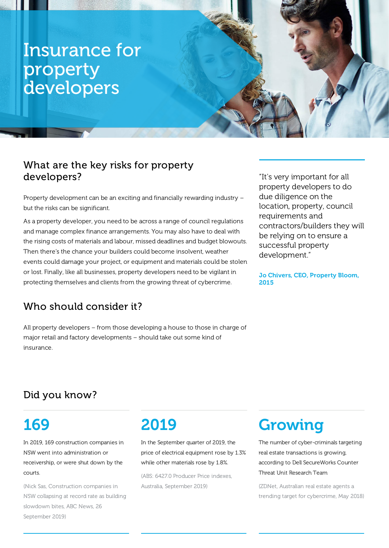# Insurance for property developers

### What are the key risks for property developers?

Property development can be an exciting and financially rewarding industry – but the risks can be significant.

As a property developer, you need to be across a range of council regulations and manage complex finance arrangements. You may also have to deal with the rising costs of materials and labour, missed deadlines and budget blowouts. Then there's the chance your builders could become insolvent, weather events could damage your project, or equipment and materials could be stolen or lost. Finally, like all businesses, property developers need to be vigilant in protecting themselves and clients from the growing threat of cybercrime.

"It's very important for all property developers to do due diligence on the location, property, council requirements and contractors/builders they will be relying on to ensure a successful property development."

Jo Chivers, CEO, Property Bloom, 2015

### Who should consider it?

All property developers – from those developing a house to those in charge of major retail and factory developments – should take out some kind of insurance.

## Did you know?

# 169

In 2019, 169 construction companies in NSW went into administration or receivership, or were shut down by the courts.

(Nick Sas, Construction companies in NSW collapsing at record rate as building slowdown bites, ABC News, 26 September 2019)

# 2019

In the September quarter of 2019, the price of electrical equipment rose by 1.3% while other materials rose by 1.8%.

(ABS: 6427.0 Producer Price indexes, Australia, September 2019)

# Growing

The number of cyber-criminals targeting real estate transactions is growing, according to Dell SecureWorks Counter Threat Unit Research Team

(ZDNet, Australian real estate agents a trending target for cybercrime, May 2018)